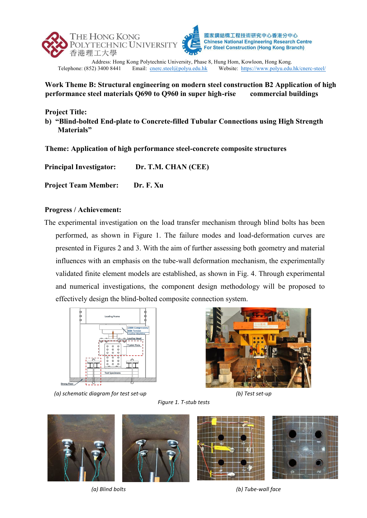



Address: Hong Kong Polytechnic University, Phase 8, Hung Hom, Kowloon, Hong Kong.<br>Telephone: (852) 3400 8441 Email: cnerc.steel@polyu.edu.hk Website: https://www.polyu.edu. Website: https://www.polyu.edu.hk/cnerc-steel/

## **Work Theme B: Structural engineering on modern steel construction B2 Application of high performance steel materials Q690 to Q960 in super high-rise commercial buildings**

**Project Title:**

**b) "Blind-bolted End-plate to Concrete-filled Tubular Connections using High Strength Materials"**

**Theme: Application of high performance steel-concrete composite structures**

| Dr. T.M. CHAN (CEE)<br><b>Principal Investigator:</b> |
|-------------------------------------------------------|
|-------------------------------------------------------|

**Project Team Member: Dr. F. Xu**

## **Progress / Achievement:**

The experimental investigation on the load transfer mechanism through blind bolts has been performed, as shown in Figure 1. The failure modes and load-deformation curves are presented in Figures 2 and 3. With the aim of further assessing both geometry and material influences with an emphasis on the tube-wall deformation mechanism, the experimentally validated finite element models are established, as shown in Fig. 4. Through experimental and numerical investigations, the component design methodology will be proposed to effectively design the blind-bolted composite connection system.



*(a) schematic diagram for test set-up (b) Test set-up*



*Figure 1. T-stub tests*



*(a) Blind bolts*

*(b) Tube-wall face*